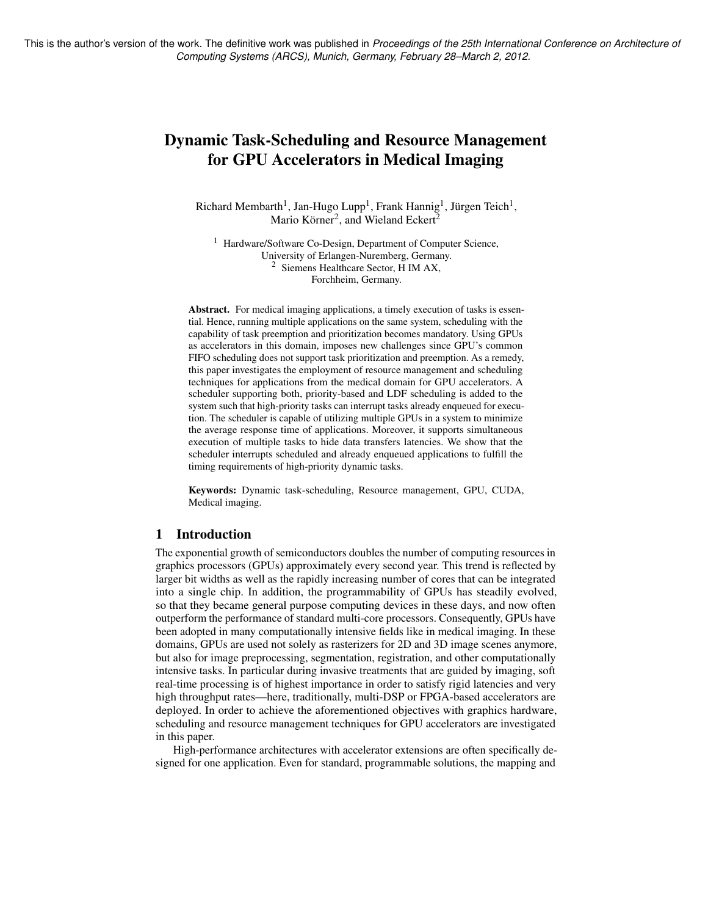# Dynamic Task-Scheduling and Resource Management for GPU Accelerators in Medical Imaging

Richard Membarth<sup>1</sup>, Jan-Hugo Lupp<sup>1</sup>, Frank Hannig<sup>1</sup>, Jürgen Teich<sup>1</sup>, Mario Körner<sup>2</sup>, and Wieland Eckert<sup>2</sup>

<sup>1</sup> Hardware/Software Co-Design, Department of Computer Science, University of Erlangen-Nuremberg, Germany. <sup>2</sup> Siemens Healthcare Sector, H IM AX, Forchheim, Germany.

Abstract. For medical imaging applications, a timely execution of tasks is essential. Hence, running multiple applications on the same system, scheduling with the capability of task preemption and prioritization becomes mandatory. Using GPUs as accelerators in this domain, imposes new challenges since GPU's common FIFO scheduling does not support task prioritization and preemption. As a remedy, this paper investigates the employment of resource management and scheduling techniques for applications from the medical domain for GPU accelerators. A scheduler supporting both, priority-based and LDF scheduling is added to the system such that high-priority tasks can interrupt tasks already enqueued for execution. The scheduler is capable of utilizing multiple GPUs in a system to minimize the average response time of applications. Moreover, it supports simultaneous execution of multiple tasks to hide data transfers latencies. We show that the scheduler interrupts scheduled and already enqueued applications to fulfill the timing requirements of high-priority dynamic tasks.

Keywords: Dynamic task-scheduling, Resource management, GPU, CUDA, Medical imaging.

# 1 Introduction

The exponential growth of semiconductors doubles the number of computing resources in graphics processors (GPUs) approximately every second year. This trend is reflected by larger bit widths as well as the rapidly increasing number of cores that can be integrated into a single chip. In addition, the programmability of GPUs has steadily evolved, so that they became general purpose computing devices in these days, and now often outperform the performance of standard multi-core processors. Consequently, GPUs have been adopted in many computationally intensive fields like in medical imaging. In these domains, GPUs are used not solely as rasterizers for 2D and 3D image scenes anymore, but also for image preprocessing, segmentation, registration, and other computationally intensive tasks. In particular during invasive treatments that are guided by imaging, soft real-time processing is of highest importance in order to satisfy rigid latencies and very high throughput rates—here, traditionally, multi-DSP or FPGA-based accelerators are deployed. In order to achieve the aforementioned objectives with graphics hardware, scheduling and resource management techniques for GPU accelerators are investigated in this paper.

High-performance architectures with accelerator extensions are often specifically designed for one application. Even for standard, programmable solutions, the mapping and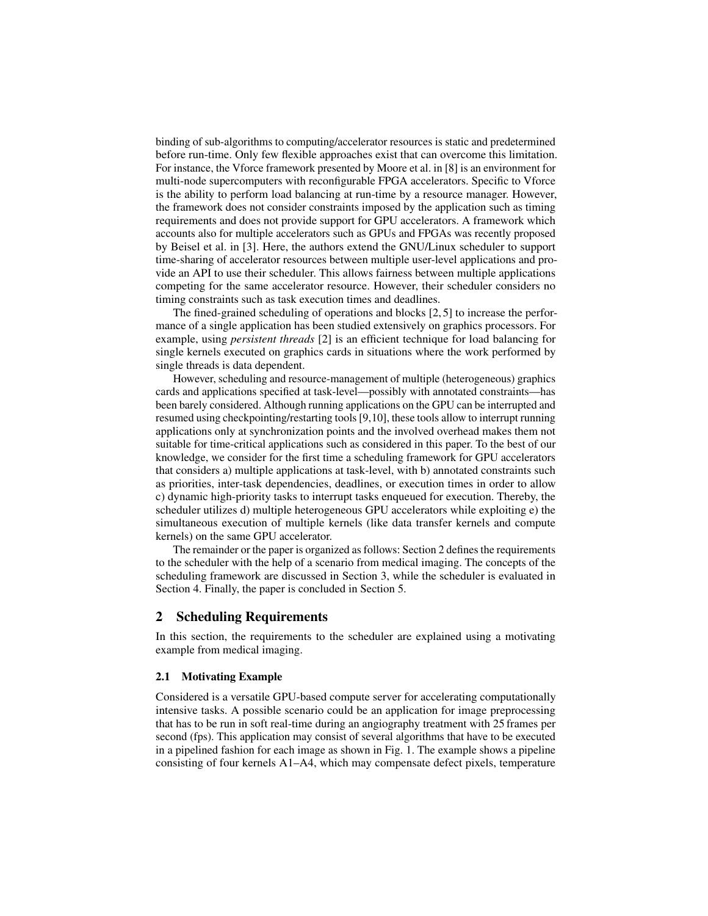binding of sub-algorithms to computing/accelerator resources is static and predetermined before run-time. Only few flexible approaches exist that can overcome this limitation. For instance, the Vforce framework presented by Moore et al. in [\[8\]](#page-11-0) is an environment for multi-node supercomputers with reconfigurable FPGA accelerators. Specific to Vforce is the ability to perform load balancing at run-time by a resource manager. However, the framework does not consider constraints imposed by the application such as timing requirements and does not provide support for GPU accelerators. A framework which accounts also for multiple accelerators such as GPUs and FPGAs was recently proposed by Beisel et al. in [\[3\]](#page-11-1). Here, the authors extend the GNU/Linux scheduler to support time-sharing of accelerator resources between multiple user-level applications and provide an API to use their scheduler. This allows fairness between multiple applications competing for the same accelerator resource. However, their scheduler considers no timing constraints such as task execution times and deadlines.

The fined-grained scheduling of operations and blocks [\[2,](#page-11-2) [5\]](#page-11-3) to increase the performance of a single application has been studied extensively on graphics processors. For example, using *persistent threads* [\[2\]](#page-11-2) is an efficient technique for load balancing for single kernels executed on graphics cards in situations where the work performed by single threads is data dependent.

However, scheduling and resource-management of multiple (heterogeneous) graphics cards and applications specified at task-level—possibly with annotated constraints—has been barely considered. Although running applications on the GPU can be interrupted and resumed using checkpointing/restarting tools [\[9,](#page-11-4)[10\]](#page-11-5), these tools allow to interrupt running applications only at synchronization points and the involved overhead makes them not suitable for time-critical applications such as considered in this paper. To the best of our knowledge, we consider for the first time a scheduling framework for GPU accelerators that considers a) multiple applications at task-level, with b) annotated constraints such as priorities, inter-task dependencies, deadlines, or execution times in order to allow c) dynamic high-priority tasks to interrupt tasks enqueued for execution. Thereby, the scheduler utilizes d) multiple heterogeneous GPU accelerators while exploiting e) the simultaneous execution of multiple kernels (like data transfer kernels and compute kernels) on the same GPU accelerator.

The remainder or the paper is organized as follows: Section [2](#page-1-0) defines the requirements to the scheduler with the help of a scenario from medical imaging. The concepts of the scheduling framework are discussed in Section [3,](#page-3-0) while the scheduler is evaluated in Section [4.](#page-6-0) Finally, the paper is concluded in Section [5.](#page-11-6)

## <span id="page-1-0"></span>2 Scheduling Requirements

In this section, the requirements to the scheduler are explained using a motivating example from medical imaging.

## 2.1 Motivating Example

Considered is a versatile GPU-based compute server for accelerating computationally intensive tasks. A possible scenario could be an application for image preprocessing that has to be run in soft real-time during an angiography treatment with 25 frames per second (fps). This application may consist of several algorithms that have to be executed in a pipelined fashion for each image as shown in Fig. [1.](#page-2-0) The example shows a pipeline consisting of four kernels A1–A4, which may compensate defect pixels, temperature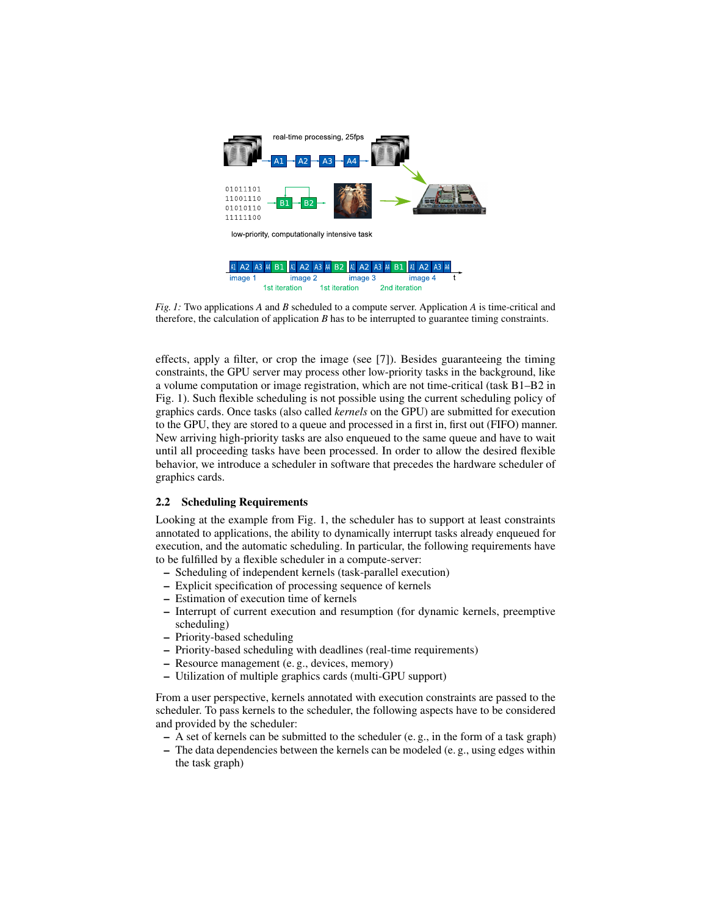<span id="page-2-0"></span>

*Fig. 1:* Two applications *A* and *B* scheduled to a compute server. Application *A* is time-critical and therefore, the calculation of application *B* has to be interrupted to guarantee timing constraints.

effects, apply a filter, or crop the image (see [\[7\]](#page-11-7)). Besides guaranteeing the timing constraints, the GPU server may process other low-priority tasks in the background, like a volume computation or image registration, which are not time-critical (task B1–B2 in Fig. [1\)](#page-2-0). Such flexible scheduling is not possible using the current scheduling policy of graphics cards. Once tasks (also called *kernels* on the GPU) are submitted for execution to the GPU, they are stored to a queue and processed in a first in, first out (FIFO) manner. New arriving high-priority tasks are also enqueued to the same queue and have to wait until all proceeding tasks have been processed. In order to allow the desired flexible behavior, we introduce a scheduler in software that precedes the hardware scheduler of graphics cards.

## 2.2 Scheduling Requirements

Looking at the example from Fig. [1,](#page-2-0) the scheduler has to support at least constraints annotated to applications, the ability to dynamically interrupt tasks already enqueued for execution, and the automatic scheduling. In particular, the following requirements have to be fulfilled by a flexible scheduler in a compute-server:

- Scheduling of independent kernels (task-parallel execution)
- Explicit specification of processing sequence of kernels
- Estimation of execution time of kernels
- Interrupt of current execution and resumption (for dynamic kernels, preemptive scheduling)
- Priority-based scheduling
- Priority-based scheduling with deadlines (real-time requirements)
- Resource management (e. g., devices, memory)
- Utilization of multiple graphics cards (multi-GPU support)

From a user perspective, kernels annotated with execution constraints are passed to the scheduler. To pass kernels to the scheduler, the following aspects have to be considered and provided by the scheduler:

- A set of kernels can be submitted to the scheduler (e. g., in the form of a task graph)
- The data dependencies between the kernels can be modeled (e. g., using edges within the task graph)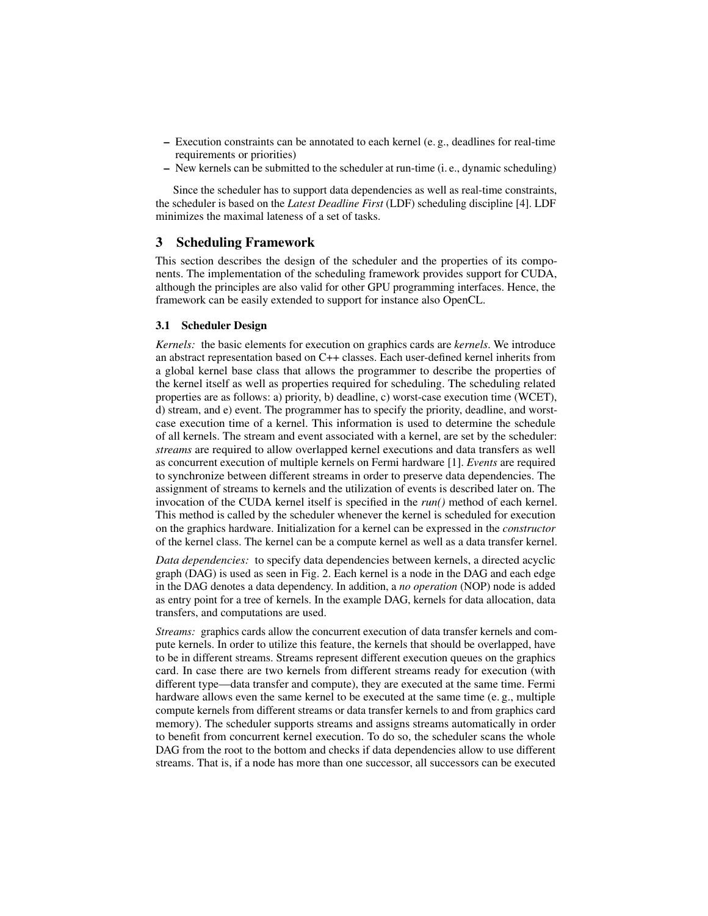- Execution constraints can be annotated to each kernel (e. g., deadlines for real-time requirements or priorities)
- New kernels can be submitted to the scheduler at run-time (i. e., dynamic scheduling)

Since the scheduler has to support data dependencies as well as real-time constraints, the scheduler is based on the *Latest Deadline First* (LDF) scheduling discipline [\[4\]](#page-11-8). LDF minimizes the maximal lateness of a set of tasks.

# <span id="page-3-0"></span>3 Scheduling Framework

This section describes the design of the scheduler and the properties of its components. The implementation of the scheduling framework provides support for CUDA, although the principles are also valid for other GPU programming interfaces. Hence, the framework can be easily extended to support for instance also OpenCL.

#### 3.1 Scheduler Design

*Kernels:* the basic elements for execution on graphics cards are *kernels*. We introduce an abstract representation based on C++ classes. Each user-defined kernel inherits from a global kernel base class that allows the programmer to describe the properties of the kernel itself as well as properties required for scheduling. The scheduling related properties are as follows: a) priority, b) deadline, c) worst-case execution time (WCET), d) stream, and e) event. The programmer has to specify the priority, deadline, and worstcase execution time of a kernel. This information is used to determine the schedule of all kernels. The stream and event associated with a kernel, are set by the scheduler: *streams* are required to allow overlapped kernel executions and data transfers as well as concurrent execution of multiple kernels on Fermi hardware [\[1\]](#page-11-9). *Events* are required to synchronize between different streams in order to preserve data dependencies. The assignment of streams to kernels and the utilization of events is described later on. The invocation of the CUDA kernel itself is specified in the *run()* method of each kernel. This method is called by the scheduler whenever the kernel is scheduled for execution on the graphics hardware. Initialization for a kernel can be expressed in the *constructor* of the kernel class. The kernel can be a compute kernel as well as a data transfer kernel.

*Data dependencies:* to specify data dependencies between kernels, a directed acyclic graph (DAG) is used as seen in Fig. [2.](#page-7-0) Each kernel is a node in the DAG and each edge in the DAG denotes a data dependency. In addition, a *no operation* (NOP) node is added as entry point for a tree of kernels. In the example DAG, kernels for data allocation, data transfers, and computations are used.

*Streams:* graphics cards allow the concurrent execution of data transfer kernels and compute kernels. In order to utilize this feature, the kernels that should be overlapped, have to be in different streams. Streams represent different execution queues on the graphics card. In case there are two kernels from different streams ready for execution (with different type—data transfer and compute), they are executed at the same time. Fermi hardware allows even the same kernel to be executed at the same time (e. g., multiple compute kernels from different streams or data transfer kernels to and from graphics card memory). The scheduler supports streams and assigns streams automatically in order to benefit from concurrent kernel execution. To do so, the scheduler scans the whole DAG from the root to the bottom and checks if data dependencies allow to use different streams. That is, if a node has more than one successor, all successors can be executed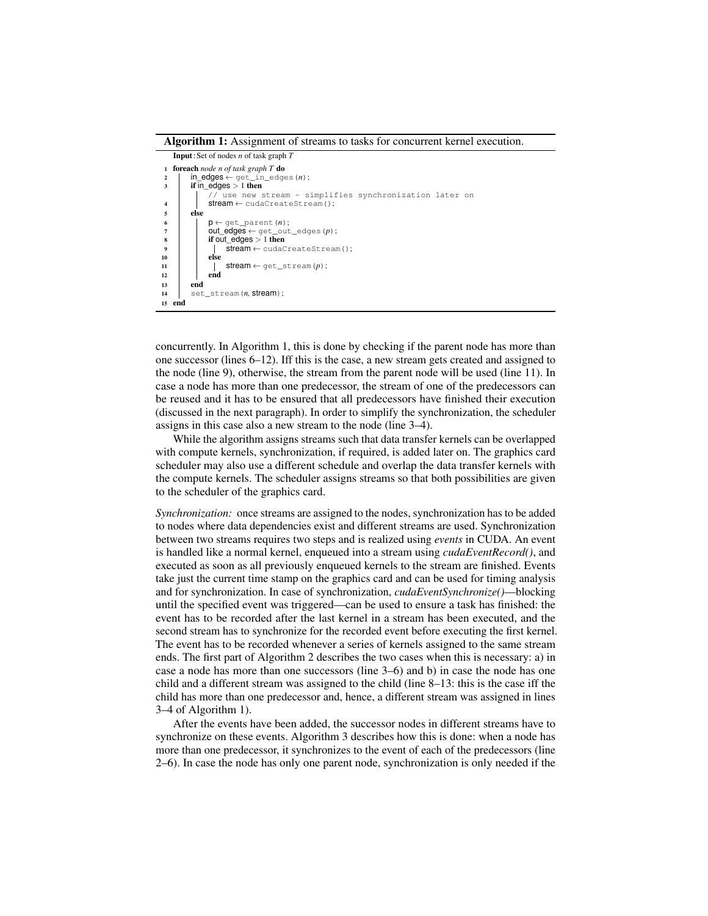Algorithm 1: Assignment of streams to tasks for concurrent kernel execution.



<span id="page-4-0"></span>concurrently. In Algorithm [1,](#page-4-0) this is done by checking if the parent node has more than one successor (lines 6–12). Iff this is the case, a new stream gets created and assigned to the node (line 9), otherwise, the stream from the parent node will be used (line 11). In case a node has more than one predecessor, the stream of one of the predecessors can be reused and it has to be ensured that all predecessors have finished their execution (discussed in the next paragraph). In order to simplify the synchronization, the scheduler assigns in this case also a new stream to the node (line 3–4).

While the algorithm assigns streams such that data transfer kernels can be overlapped with compute kernels, synchronization, if required, is added later on. The graphics card scheduler may also use a different schedule and overlap the data transfer kernels with the compute kernels. The scheduler assigns streams so that both possibilities are given to the scheduler of the graphics card.

*Synchronization:* once streams are assigned to the nodes, synchronization has to be added to nodes where data dependencies exist and different streams are used. Synchronization between two streams requires two steps and is realized using *events* in CUDA. An event is handled like a normal kernel, enqueued into a stream using *cudaEventRecord()*, and executed as soon as all previously enqueued kernels to the stream are finished. Events take just the current time stamp on the graphics card and can be used for timing analysis and for synchronization. In case of synchronization, *cudaEventSynchronize()*—blocking until the specified event was triggered—can be used to ensure a task has finished: the event has to be recorded after the last kernel in a stream has been executed, and the second stream has to synchronize for the recorded event before executing the first kernel. The event has to be recorded whenever a series of kernels assigned to the same stream ends. The first part of Algorithm [2](#page-5-0) describes the two cases when this is necessary: a) in case a node has more than one successors (line 3–6) and b) in case the node has one child and a different stream was assigned to the child (line 8–13: this is the case iff the child has more than one predecessor and, hence, a different stream was assigned in lines 3–4 of Algorithm [1\)](#page-4-0).

After the events have been added, the successor nodes in different streams have to synchronize on these events. Algorithm [3](#page-5-1) describes how this is done: when a node has more than one predecessor, it synchronizes to the event of each of the predecessors (line 2–6). In case the node has only one parent node, synchronization is only needed if the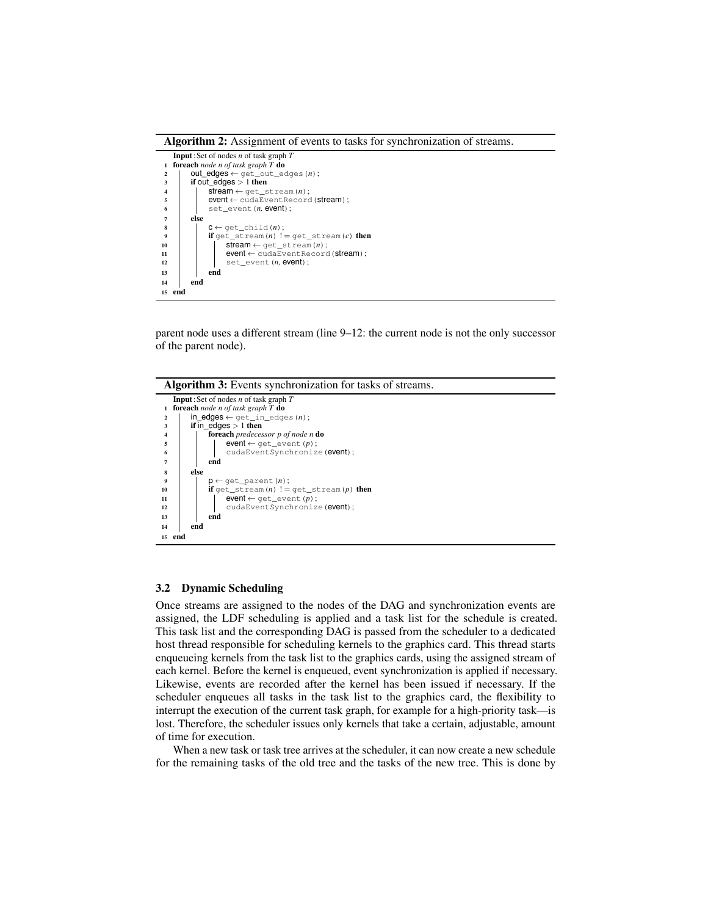Algorithm 2: Assignment of events to tasks for synchronization of streams.



<span id="page-5-0"></span>parent node uses a different stream (line 9–12: the current node is not the only successor of the parent node).



#### <span id="page-5-1"></span>3.2 Dynamic Scheduling

Once streams are assigned to the nodes of the DAG and synchronization events are assigned, the LDF scheduling is applied and a task list for the schedule is created. This task list and the corresponding DAG is passed from the scheduler to a dedicated host thread responsible for scheduling kernels to the graphics card. This thread starts enqueueing kernels from the task list to the graphics cards, using the assigned stream of each kernel. Before the kernel is enqueued, event synchronization is applied if necessary. Likewise, events are recorded after the kernel has been issued if necessary. If the scheduler enqueues all tasks in the task list to the graphics card, the flexibility to interrupt the execution of the current task graph, for example for a high-priority task—is lost. Therefore, the scheduler issues only kernels that take a certain, adjustable, amount of time for execution.

When a new task or task tree arrives at the scheduler, it can now create a new schedule for the remaining tasks of the old tree and the tasks of the new tree. This is done by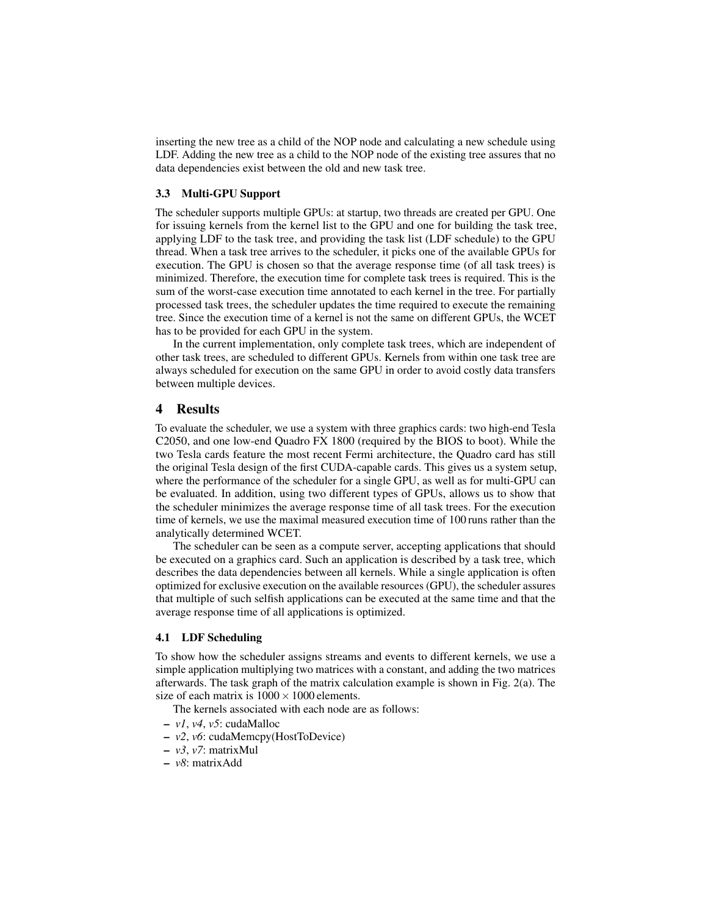inserting the new tree as a child of the NOP node and calculating a new schedule using LDF. Adding the new tree as a child to the NOP node of the existing tree assures that no data dependencies exist between the old and new task tree.

### 3.3 Multi-GPU Support

The scheduler supports multiple GPUs: at startup, two threads are created per GPU. One for issuing kernels from the kernel list to the GPU and one for building the task tree, applying LDF to the task tree, and providing the task list (LDF schedule) to the GPU thread. When a task tree arrives to the scheduler, it picks one of the available GPUs for execution. The GPU is chosen so that the average response time (of all task trees) is minimized. Therefore, the execution time for complete task trees is required. This is the sum of the worst-case execution time annotated to each kernel in the tree. For partially processed task trees, the scheduler updates the time required to execute the remaining tree. Since the execution time of a kernel is not the same on different GPUs, the WCET has to be provided for each GPU in the system.

In the current implementation, only complete task trees, which are independent of other task trees, are scheduled to different GPUs. Kernels from within one task tree are always scheduled for execution on the same GPU in order to avoid costly data transfers between multiple devices.

## <span id="page-6-0"></span>4 Results

To evaluate the scheduler, we use a system with three graphics cards: two high-end Tesla C2050, and one low-end Quadro FX 1800 (required by the BIOS to boot). While the two Tesla cards feature the most recent Fermi architecture, the Quadro card has still the original Tesla design of the first CUDA-capable cards. This gives us a system setup, where the performance of the scheduler for a single GPU, as well as for multi-GPU can be evaluated. In addition, using two different types of GPUs, allows us to show that the scheduler minimizes the average response time of all task trees. For the execution time of kernels, we use the maximal measured execution time of 100 runs rather than the analytically determined WCET.

The scheduler can be seen as a compute server, accepting applications that should be executed on a graphics card. Such an application is described by a task tree, which describes the data dependencies between all kernels. While a single application is often optimized for exclusive execution on the available resources (GPU), the scheduler assures that multiple of such selfish applications can be executed at the same time and that the average response time of all applications is optimized.

### 4.1 LDF Scheduling

To show how the scheduler assigns streams and events to different kernels, we use a simple application multiplying two matrices with a constant, and adding the two matrices afterwards. The task graph of the matrix calculation example is shown in Fig. [2](#page-7-0)[\(a\).](#page-7-1) The size of each matrix is  $1000 \times 1000$  elements.

The kernels associated with each node are as follows:

- *v1*, *v4*, *v5*: cudaMalloc
- *v2*, *v6*: cudaMemcpy(HostToDevice)
- *v3*, *v7*: matrixMul
- *v8*: matrixAdd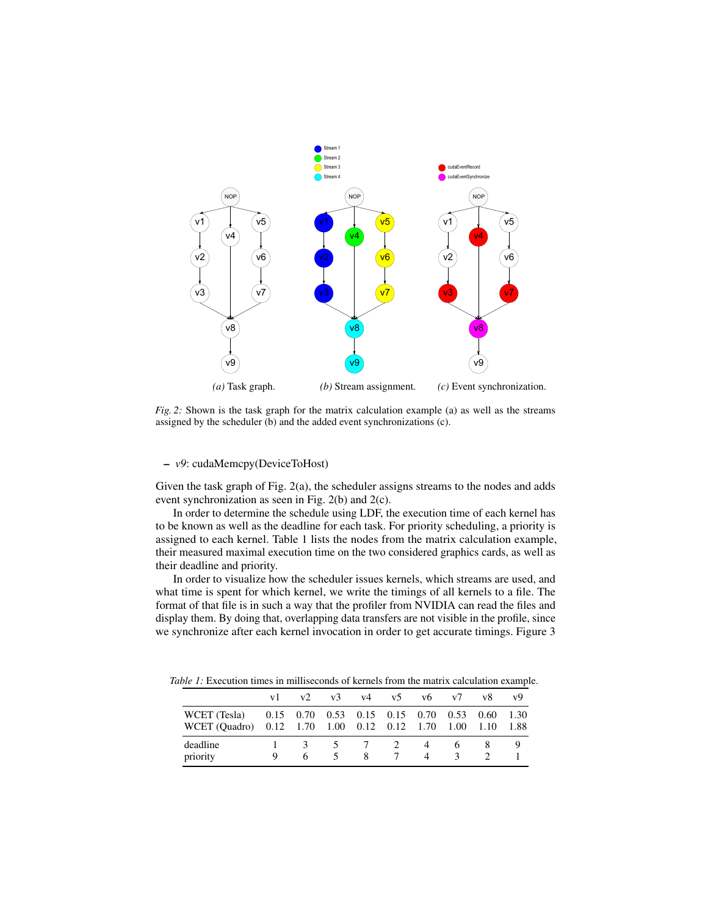<span id="page-7-1"></span><span id="page-7-0"></span>

<span id="page-7-3"></span><span id="page-7-2"></span>*Fig. 2:* Shown is the task graph for the matrix calculation example [\(a\)](#page-7-1) as well as the streams assigned by the scheduler [\(b\)](#page-7-2) and the added event synchronizations [\(c\).](#page-7-3)

### – *v9*: cudaMemcpy(DeviceToHost)

Given the task graph of Fig. [2](#page-7-0)[\(a\),](#page-7-1) the scheduler assigns streams to the nodes and adds event synchronization as seen in Fig. [2](#page-7-0)[\(b\)](#page-7-2) and [2](#page-7-0)[\(c\).](#page-7-3)

In order to determine the schedule using LDF, the execution time of each kernel has to be known as well as the deadline for each task. For priority scheduling, a priority is assigned to each kernel. Table [1](#page-7-4) lists the nodes from the matrix calculation example, their measured maximal execution time on the two considered graphics cards, as well as their deadline and priority.

In order to visualize how the scheduler issues kernels, which streams are used, and what time is spent for which kernel, we write the timings of all kernels to a file. The format of that file is in such a way that the profiler from NVIDIA can read the files and display them. By doing that, overlapping data transfers are not visible in the profile, since we synchronize after each kernel invocation in order to get accurate timings. Figure [3](#page-8-0)

<span id="page-7-4"></span>*Table 1:* Execution times in milliseconds of kernels from the matrix calculation example.

|                                                                                                       | vl | V <sup>2</sup> | v3       | v4            | v5 | v6             | v7   | v8                        | v9     |
|-------------------------------------------------------------------------------------------------------|----|----------------|----------|---------------|----|----------------|------|---------------------------|--------|
| WCET (Tesla)  0.15  0.70  0.53  0.15  0.15  0.70  0.53<br>WCET (Quadro) 0.12 1.70 1.00 0.12 0.12 1.70 |    |                |          |               |    |                | 1.00 | $0.60 \quad 1.30$<br>1.10 | - 1.88 |
| deadline<br>priority                                                                                  | Q  |                | $\sim$ 5 | $\mathcal{L}$ |    | $\overline{4}$ | h    |                           |        |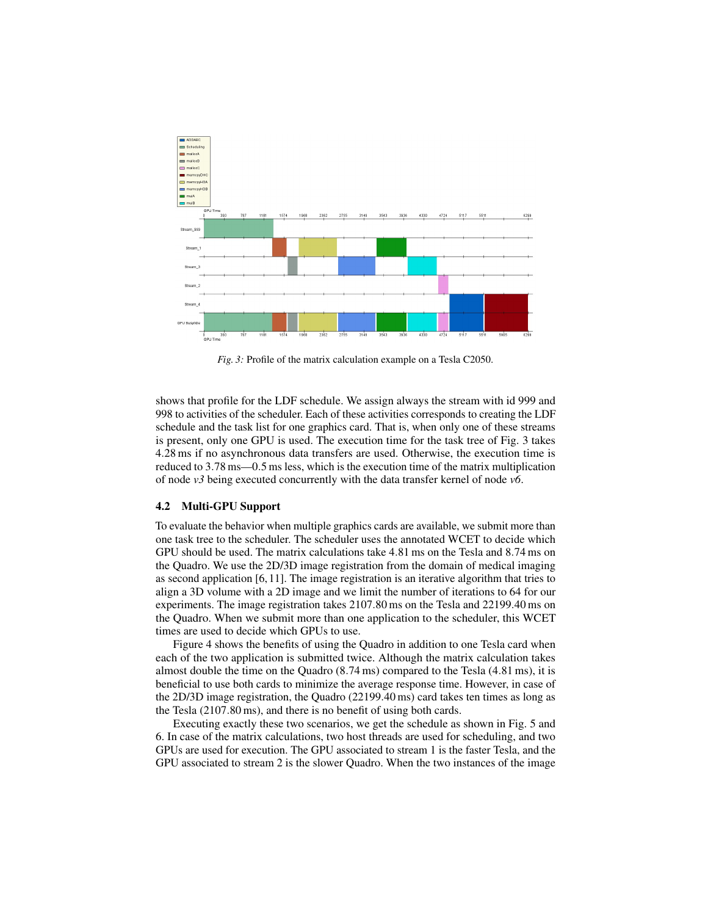<span id="page-8-0"></span>

*Fig. 3:* Profile of the matrix calculation example on a Tesla C2050.

shows that profile for the LDF schedule. We assign always the stream with id 999 and 998 to activities of the scheduler. Each of these activities corresponds to creating the LDF schedule and the task list for one graphics card. That is, when only one of these streams is present, only one GPU is used. The execution time for the task tree of Fig. [3](#page-8-0) takes 4.28 ms if no asynchronous data transfers are used. Otherwise, the execution time is reduced to 3.78 ms—0.5 ms less, which is the execution time of the matrix multiplication of node *v3* being executed concurrently with the data transfer kernel of node *v6*.

#### 4.2 Multi-GPU Support

To evaluate the behavior when multiple graphics cards are available, we submit more than one task tree to the scheduler. The scheduler uses the annotated WCET to decide which GPU should be used. The matrix calculations take 4.81 ms on the Tesla and 8.74 ms on the Quadro. We use the 2D/3D image registration from the domain of medical imaging as second application [\[6,](#page-11-10) [11\]](#page-11-11). The image registration is an iterative algorithm that tries to align a 3D volume with a 2D image and we limit the number of iterations to 64 for our experiments. The image registration takes 2107.80 ms on the Tesla and 22199.40 ms on the Quadro. When we submit more than one application to the scheduler, this WCET times are used to decide which GPUs to use.

Figure [4](#page-9-0) shows the benefits of using the Quadro in addition to one Tesla card when each of the two application is submitted twice. Although the matrix calculation takes almost double the time on the Quadro (8.74 ms) compared to the Tesla (4.81 ms), it is beneficial to use both cards to minimize the average response time. However, in case of the 2D/3D image registration, the Quadro (22199.40 ms) card takes ten times as long as the Tesla (2107.80 ms), and there is no benefit of using both cards.

Executing exactly these two scenarios, we get the schedule as shown in Fig. [5](#page-9-1) and [6.](#page-10-0) In case of the matrix calculations, two host threads are used for scheduling, and two GPUs are used for execution. The GPU associated to stream 1 is the faster Tesla, and the GPU associated to stream 2 is the slower Quadro. When the two instances of the image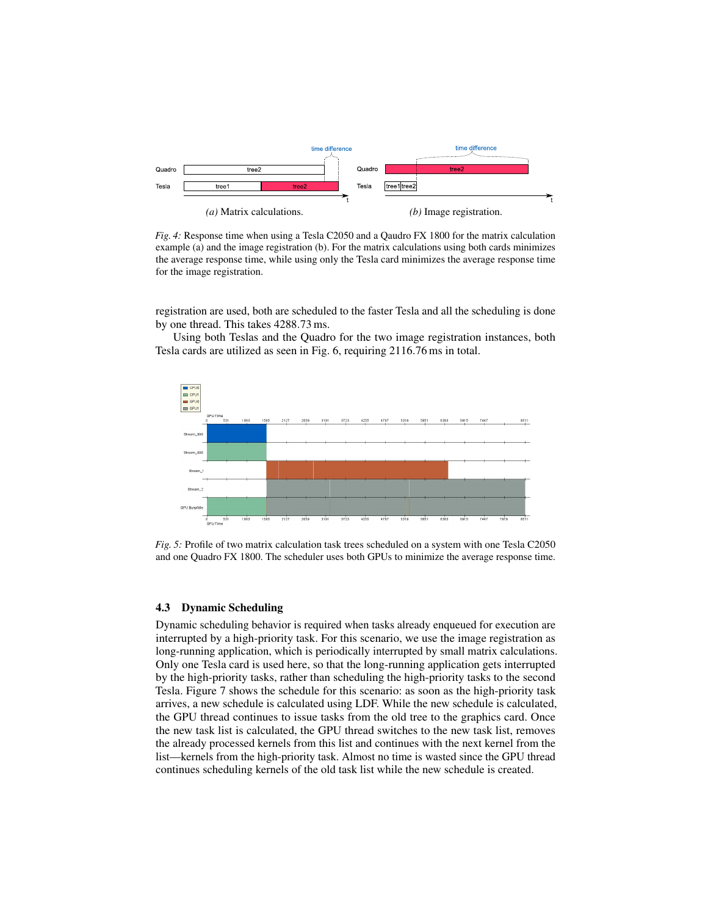<span id="page-9-2"></span><span id="page-9-0"></span>

<span id="page-9-3"></span>*Fig. 4:* Response time when using a Tesla C2050 and a Qaudro FX 1800 for the matrix calculation example [\(a\)](#page-9-2) and the image registration [\(b\).](#page-9-3) For the matrix calculations using both cards minimizes the average response time, while using only the Tesla card minimizes the average response time for the image registration.

registration are used, both are scheduled to the faster Tesla and all the scheduling is done by one thread. This takes 4288.73 ms.

Using both Teslas and the Quadro for the two image registration instances, both Tesla cards are utilized as seen in Fig. [6,](#page-10-0) requiring 2116.76 ms in total.

<span id="page-9-1"></span>

*Fig. 5:* Profile of two matrix calculation task trees scheduled on a system with one Tesla C2050 and one Quadro FX 1800. The scheduler uses both GPUs to minimize the average response time.

### 4.3 Dynamic Scheduling

Dynamic scheduling behavior is required when tasks already enqueued for execution are interrupted by a high-priority task. For this scenario, we use the image registration as long-running application, which is periodically interrupted by small matrix calculations. Only one Tesla card is used here, so that the long-running application gets interrupted by the high-priority tasks, rather than scheduling the high-priority tasks to the second Tesla. Figure [7](#page-10-1) shows the schedule for this scenario: as soon as the high-priority task arrives, a new schedule is calculated using LDF. While the new schedule is calculated, the GPU thread continues to issue tasks from the old tree to the graphics card. Once the new task list is calculated, the GPU thread switches to the new task list, removes the already processed kernels from this list and continues with the next kernel from the list—kernels from the high-priority task. Almost no time is wasted since the GPU thread continues scheduling kernels of the old task list while the new schedule is created.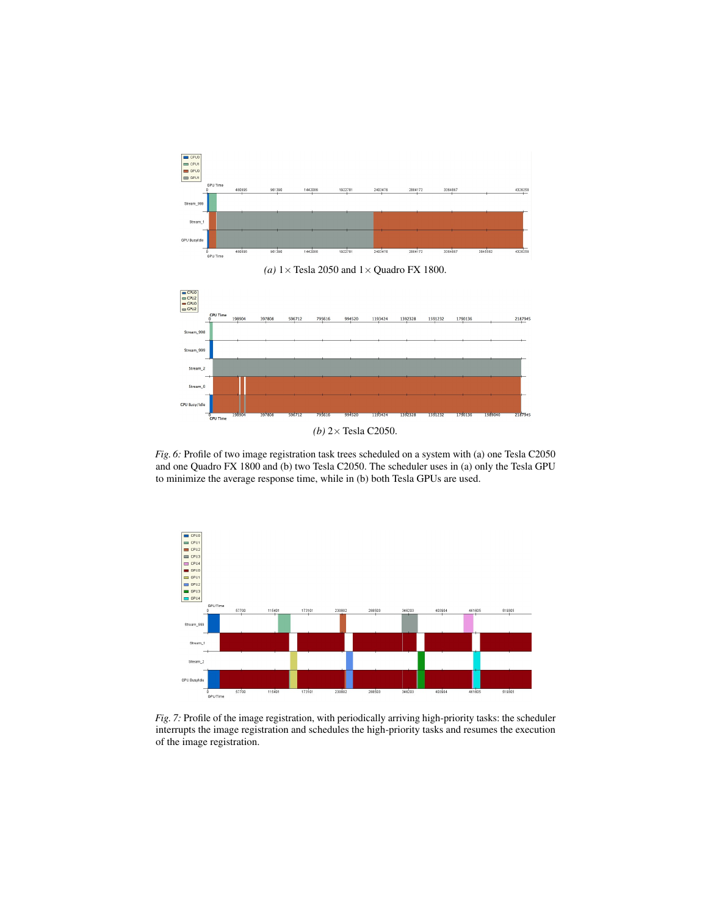<span id="page-10-2"></span><span id="page-10-0"></span>

*(b)* 2× Tesla C2050.

<span id="page-10-3"></span>*Fig. 6:* Profile of two image registration task trees scheduled on a system with [\(a\)](#page-10-2) one Tesla C2050 and one Quadro FX 1800 and [\(b\)](#page-10-3) two Tesla C2050. The scheduler uses in [\(a\)](#page-10-2) only the Tesla GPU to minimize the average response time, while in [\(b\)](#page-10-3) both Tesla GPUs are used.

<span id="page-10-1"></span>

*Fig. 7:* Profile of the image registration, with periodically arriving high-priority tasks: the scheduler interrupts the image registration and schedules the high-priority tasks and resumes the execution of the image registration.